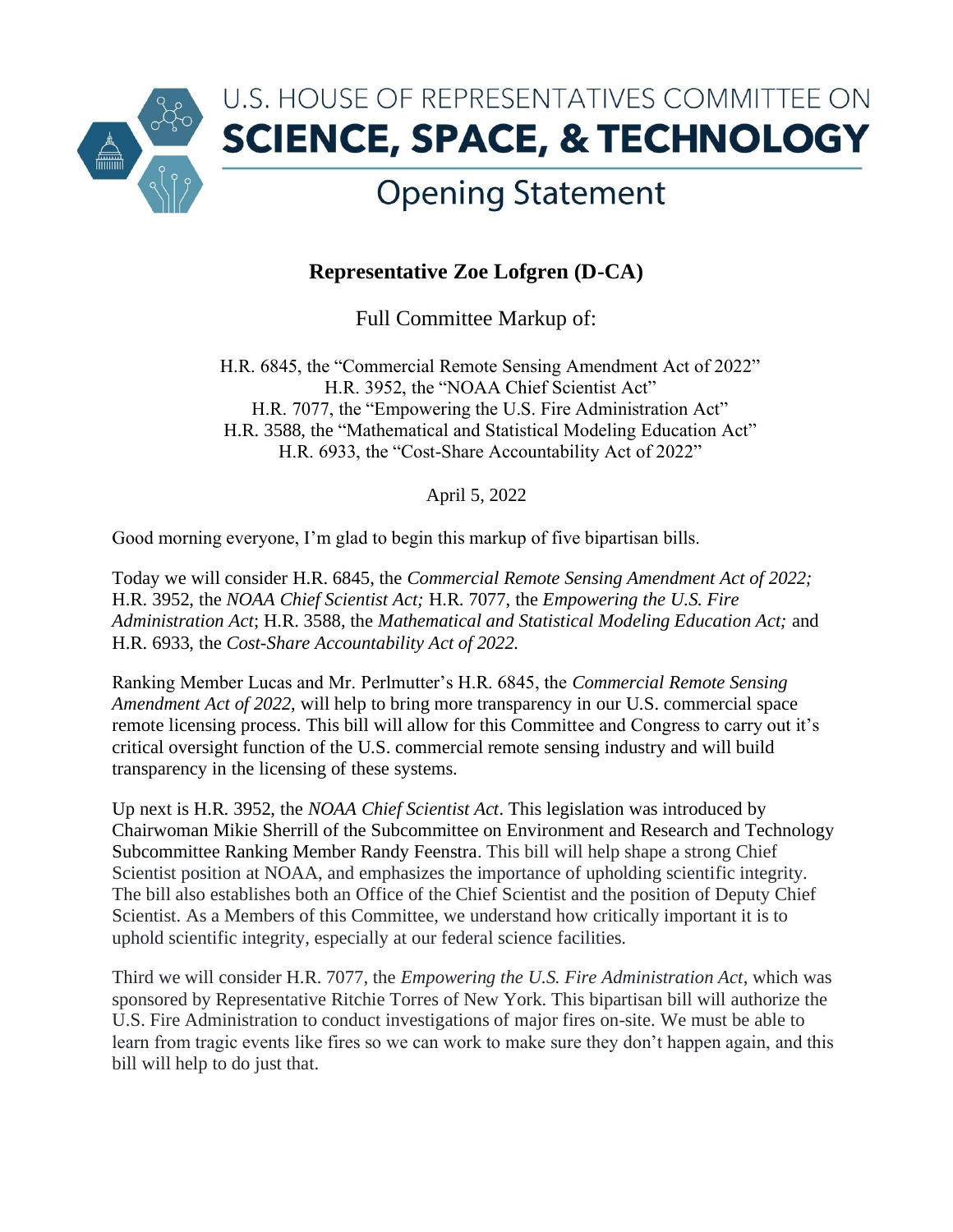

## **Opening Statement**

## **Representative Zoe Lofgren (D-CA)**

Full Committee Markup of:

H.R. 6845, the "Commercial Remote Sensing Amendment Act of 2022" H.R. 3952, the "NOAA Chief Scientist Act" H.R. 7077, the "Empowering the U.S. Fire Administration Act" H.R. 3588, the "Mathematical and Statistical Modeling Education Act" H.R. 6933, the "Cost-Share Accountability Act of 2022"

April 5, 2022

Good morning everyone, I'm glad to begin this markup of five bipartisan bills.

Today we will consider H.R. 6845, the *Commercial Remote Sensing Amendment Act of 2022;*  H.R. 3952, the *NOAA Chief Scientist Act;* H.R. 7077, the *Empowering the U.S. Fire Administration Act*; H.R. 3588, the *Mathematical and Statistical Modeling Education Act;* and H.R. 6933, the *Cost-Share Accountability Act of 2022.* 

Ranking Member Lucas and Mr. Perlmutter's H.R. 6845, the *Commercial Remote Sensing Amendment Act of 2022*, will help to bring more transparency in our U.S. commercial space remote licensing process. This bill will allow for this Committee and Congress to carry out it's critical oversight function of the U.S. commercial remote sensing industry and will build transparency in the licensing of these systems.

Up next is H.R. 3952, the *NOAA Chief Scientist Act*. This legislation was introduced by Chairwoman Mikie Sherrill of the Subcommittee on Environment and Research and Technology Subcommittee Ranking Member Randy Feenstra. This bill will help shape a strong Chief Scientist position at NOAA, and emphasizes the importance of upholding scientific integrity. The bill also establishes both an Office of the Chief Scientist and the position of Deputy Chief Scientist. As a Members of this Committee, we understand how critically important it is to uphold scientific integrity, especially at our federal science facilities.

Third we will consider H.R. 7077, the *Empowering the U.S. Fire Administration Act*, which was sponsored by Representative Ritchie Torres of New York. This bipartisan bill will authorize the U.S. Fire Administration to conduct investigations of major fires on-site. We must be able to learn from tragic events like fires so we can work to make sure they don't happen again, and this bill will help to do just that.